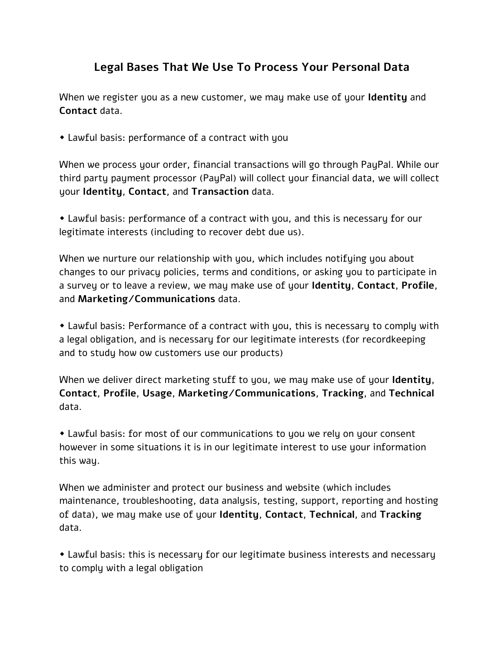## **Legal Bases That We Use To Process Your Personal Data**

When we register you as a new customer, we may make use of your **Identity** and **Contact** data.

Lawful basis: performance of a contract with you

When we process your order, financial transactions will go through PayPal. While our third party payment processor (PayPal) will collect your financial data, we will collect your **Identity**, **Contact**, and **Transaction** data.

 Lawful basis: performance of a contract with you, and this is necessary for our legitimate interests (including to recover debt due us).

When we nurture our relationship with you, which includes notifuing you about changes to our privacy policies, terms and conditions, or asking you to participate in a survey or to leave a review, we may make use of your **Identity**, **Contact**, **Profile**, and **Marketing/Communications** data.

 Lawful basis: Performance of a contract with you, this is necessary to comply with a legal obligation, and is necessary for our legitimate interests (for recordkeeping and to study how ow customers use our products)

When we deliver direct marketing stuff to you, we may make use of your **Identity**, **Contact**, **Profile**, **Usage**, **Marketing/Communications**, **Tracking**, and **Technical**  data.

 Lawful basis: for most of our communications to you we rely on your consent however in some situations it is in our legitimate interest to use your information this way.

When we administer and protect our business and website (which includes maintenance, troubleshooting, data analysis, testing, support, reporting and hosting of data), we may make use of your **Identity**, **Contact**, **Technical**, and **Tracking** data.

 Lawful basis: this is necessary for our legitimate business interests and necessary to comply with a legal obligation